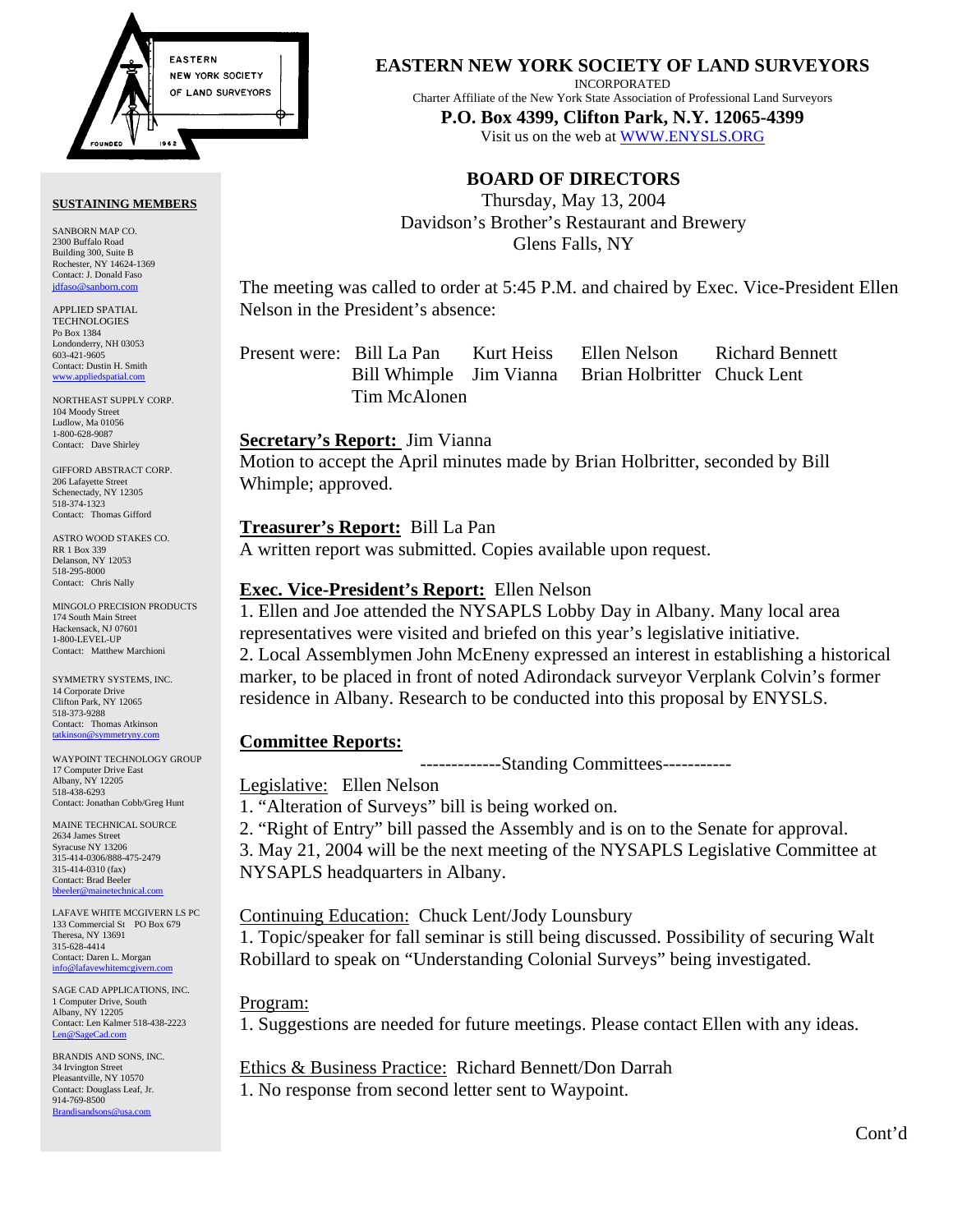

#### **SUSTAINING MEMBERS**

SANBORN MAP CO. 2300 Buffalo Road Building 300, Suite B Rochester, NY 14624-1369 Contact: J. Donald Faso [jdfaso@sanborn.com](mailto:jdfaso@sanborn.com)

APPLIED SPATIAL **TECHNOLOGIES** Po Box 1384 Londonderry, NH 03053 603-421-9605 Contact: Dustin H. Smith <www.appliedspatial.com>

NORTHEAST SUPPLY CORP. 104 Moody Street Ludlow, Ma 01056 1-800-628-9087 Contact: Dave Shirley

GIFFORD ABSTRACT CORP. 206 Lafayette Street Schenectady, NY 12305 518-374-1323 Contact: Thomas Gifford

ASTRO WOOD STAKES CO. RR 1 Box 339 Delanson, NY 12053 518-295-8000 Contact: Chris Nally

MINGOLO PRECISION PRODUCTS 174 South Main Street Hackensack, NJ 07601 1-800-LEVEL-UP Contact: Matthew Marchioni

SYMMETRY SYSTEMS, INC. 14 Corporate Drive Clifton Park, NY 12065 518-373-9288 Contact: Thomas Atkinson<br>tatkinson@symmetryny.com tatkinson

WAYPOINT TECHNOLOGY GROUP 17 Computer Drive East Albany, NY 12205 518-438-6293 Contact: Jonathan Cobb/Greg Hunt

MAINE TECHNICAL SOURCE 2634 James Street Syracuse NY 13206 315-414-0306/888-475-2479 315-414-0310 (fax) Contact: Brad Beeler bbeeler@m

LAFAVE WHITE MCGIVERN LS PC 133 Commercial St PO Box 679 Theresa, NY 13691 315-628-4414 Contact: Daren L. Morgan info@lafavewhitem

SAGE CAD APPLICATIONS, INC. 1 Computer Drive, South Albany, NY 12205 Contact: Len Kalmer 518-438-2223 [Len@SageCad.com](MAILTO:Len@SageCad.com)

BRANDIS AND SONS, INC. 34 Irvington Street Pleasantville, NY 10570 Contact: Douglass Leaf, Jr. 914-769-8500 [Brandisandsons@usa.com](MAILTO:brandisandsons@usa.com)

**EASTERN NEW YORK SOCIETY OF LAND SURVEYORS**

INCORPORATED

Charter Affiliate of the New York State Association of Professional Land Surveyors

**P.O. Box 4399, Clifton Park, N.Y. 12065-4399**  Visit us on the web at [WWW.ENYSLS.ORG](www.enysls.org)

# **BOARD OF DIRECTORS**

Thursday, May 13, 2004 Davidson's Brother's Restaurant and Brewery Glens Falls, NY

The meeting was called to order at 5:45 P.M. and chaired by Exec. Vice-President Ellen Nelson in the President's absence:

|              |  | Present were: Bill La Pan Kurt Heiss Ellen Nelson Richard Bennett |  |
|--------------|--|-------------------------------------------------------------------|--|
|              |  | Bill Whimple Jim Vianna Brian Holbritter Chuck Lent               |  |
| Tim McAlonen |  |                                                                   |  |

### **Secretary's Report:** Jim Vianna

Motion to accept the April minutes made by Brian Holbritter, seconded by Bill Whimple; approved.

## **Treasurer's Report:** Bill La Pan

A written report was submitted. Copies available upon request.

## **Exec. Vice-President's Report:** Ellen Nelson

1. Ellen and Joe attended the NYSAPLS Lobby Day in Albany. Many local area representatives were visited and briefed on this year's legislative initiative. 2. Local Assemblymen John McEneny expressed an interest in establishing a historical marker, to be placed in front of noted Adirondack surveyor Verplank Colvin's former residence in Albany. Research to be conducted into this proposal by ENYSLS.

# **Committee Reports:**

-------------Standing Committees-----------

Legislative: Ellen Nelson

1. "Alteration of Surveys" bill is being worked on.

2. "Right of Entry" bill passed the Assembly and is on to the Senate for approval. 3. May 21, 2004 will be the next meeting of the NYSAPLS Legislative Committee at NYSAPLS headquarters in Albany.

# Continuing Education: Chuck Lent/Jody Lounsbury

1. Topic/speaker for fall seminar is still being discussed. Possibility of securing Walt Robillard to speak on "Understanding Colonial Surveys" being investigated.

### Program:

1. Suggestions are needed for future meetings. Please contact Ellen with any ideas.

Ethics & Business Practice: Richard Bennett/Don Darrah 1. No response from second letter sent to Waypoint.